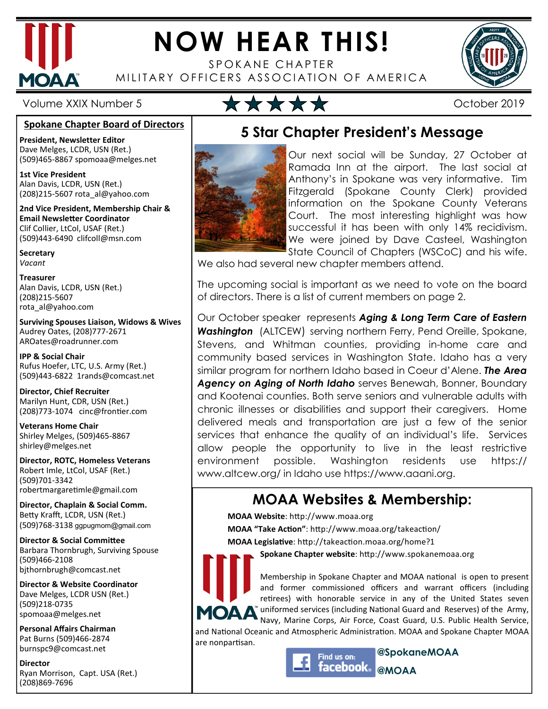

# **NOW HEAR THIS!**

SPOKANE CHAPTER MILITARY OFFICERS ASSOCIATION OF AMERICA



#### **Spokane Chapter Board of Directors**

**President, Newsletter Editor**  Dave Melges, LCDR, USN (Ret.) (509)465-8867 spomoaa@melges.net

**1st Vice President**  Alan Davis, LCDR, USN (Ret.) (208)215-5607 rota\_al@yahoo.com

**2nd Vice President, Membership Chair & Email Newsletter Coordinator** Clif Collier, LtCol, USAF (Ret.) (509)443-6490 clifcoll@msn.com

**Secretary**  *Vacant* 

**Treasurer**  Alan Davis, LCDR, USN (Ret.) (208)215-5607 rota\_al@yahoo.com

**Surviving Spouses Liaison, Widows & Wives**  Audrey Oates, (208)777-2671 AROates@roadrunner.com

**IPP & Social Chair**  Rufus Hoefer, LTC, U.S. Army (Ret.) (509)443-6822 1rands@comcast.net

**Director, Chief Recruiter**  Marilyn Hunt, CDR, USN (Ret.) (208)773-1074 cinc@frontier.com

**Veterans Home Chair**  Shirley Melges, (509)465-8867 shirley@melges.net

**Director, ROTC, Homeless Veterans**  Robert Imle, LtCol, USAF (Ret.) (509)701-3342 robertmargaretimle@gmail.com

**Director, Chaplain & Social Comm.** Betty Krafft, LCDR, USN (Ret.) (509)768-3138 ggpugmom@gmail.com

**Director & Social Committee** Barbara Thornbrugh, Surviving Spouse (509)466-2108 bjthornbrugh@comcast.net

**Director & Website Coordinator**  Dave Melges, LCDR USN (Ret.) (509)218-0735 spomoaa@melges.net

**Personal Affairs Chairman**  Pat Burns (509)466-2874 burnspc9@comcast.net

**Director**  Ryan Morrison, Capt. USA (Ret.) (208)869-7696

## Volume XXIX Number 5  $\star \star \star \star$

## **5 Star Chapter President's Message**



Our next social will be Sunday, 27 October at Ramada Inn at the airport. The last social at Anthony's in Spokane was very informative. Tim Fitzgerald (Spokane County Clerk) provided information on the Spokane County Veterans Court. The most interesting highlight was how successful it has been with only 14% recidivism. We were joined by Dave Casteel, Washington State Council of Chapters (WSCoC) and his wife.

We also had several new chapter members attend.

The upcoming social is important as we need to vote on the board of directors. There is a list of current members on page 2.

Our October speaker represents *Aging & Long Term Care of Eastern Washington* (ALTCEW) serving northern Ferry, Pend Oreille, Spokane, Stevens, and Whitman counties, providing in-home care and community based services in Washington State. Idaho has a very similar program for northern Idaho based in Coeur d'Alene. *The Area Agency on Aging of North Idaho* serves Benewah, Bonner, Boundary and Kootenai counties. Both serve seniors and vulnerable adults with chronic illnesses or disabilities and support their caregivers. Home delivered meals and transportation are just a few of the senior services that enhance the quality of an individual's life. Services allow people the opportunity to live in the least restrictive environment possible. Washington residents use https:// www.altcew.org/ in Idaho use https://www.aaani.org.

### **MOAA Websites & Membership:**

**MOAA Website**: http://www.moaa.org **MOAA "Take Action"**: http://www.moaa.org/takeaction/

MOAA Legislative: http://takeaction.moaa.org/home?1

Spokane Chapter website: http://www.spokanemoaa.org

Membership in Spokane Chapter and MOAA national is open to present and former commissioned officers and warrant officers (including retirees) with honorable service in any of the United States seven uniformed services (including National Guard and Reserves) of the Army, Navy, Marine Corps, Air Force, Coast Guard, U.S. Public Health Service,

and National Oceanic and Atmospheric Administration. MOAA and Spokane Chapter MOAA are nonpartisan.



**@SpokaneMOAA @MOAA**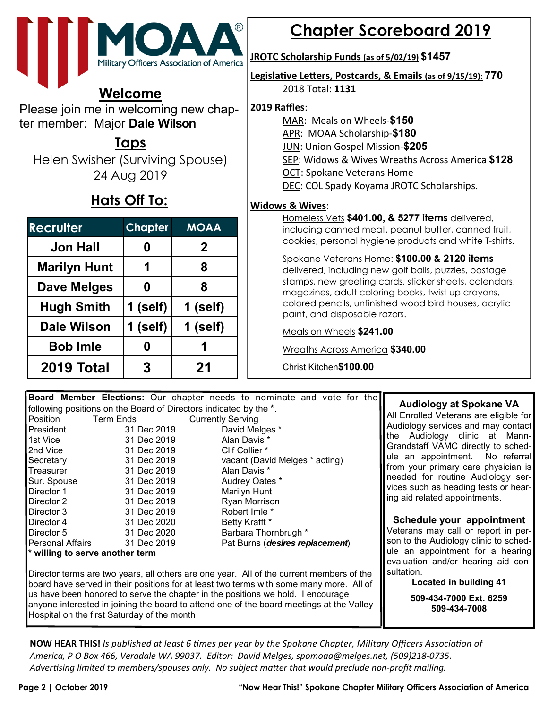

### **Welcome**

Please join me in welcoming new chapter member: Major **Dale Wilson** 

### **Taps**

Helen Swisher (Surviving Spouse) 24 Aug 2019

## **Hats Off To:**

| <b>Recruiter</b>    | <b>Chapter</b> | <b>MOAA</b> |
|---------------------|----------------|-------------|
| <b>Jon Hall</b>     | 0              | $\mathbf 2$ |
| <b>Marilyn Hunt</b> | 1              | 8           |
| <b>Dave Melges</b>  | 0              | 8           |
| <b>Hugh Smith</b>   | $1$ (self)     | 1 (self)    |
| <b>Dale Wilson</b>  | 1 (self)       | 1 (self)    |
| <b>Bob Imle</b>     | 0              | 1           |
| 2019 Total          | 3              | 21          |

## **Chapter Scoreboard 2019**

#### **JROTC Scholarship Funds (as of 5/02/19) \$1457**

**Legislative Letters, Postcards, & Emails (as of 9/15/19): 770** 2018 Total: **1131** 

#### **2019 Raffles**:

MAR: Meals on Wheels-**\$150**

APR: MOAA Scholarship-**\$180**

JUN: Union Gospel Mission-**\$205** 

SEP: Widows & Wives Wreaths Across America **\$128**

OCT: Spokane Veterans Home

DEC: COL Spady Koyama JROTC Scholarships.

#### **Widows & Wives**:

Homeless Vets **\$401.00, & 5277 items** delivered, including canned meat, peanut butter, canned fruit, cookies, personal hygiene products and white T-shirts.

#### Spokane Veterans Home: **\$100.00 & 2120 items**

delivered, including new golf balls, puzzles, postage stamps, new greeting cards, sticker sheets, calendars, magazines, adult coloring books, twist up crayons, colored pencils, unfinished wood bird houses, acrylic paint, and disposable razors.

Meals on Wheels **\$241.00** 

Wreaths Across America **\$340.00** 

Christ Kitchen**\$100.00**

|                                 |                                  | Audiology at Spokane VA                                                                                                                                                                                                                                                                                                                                                                                                                                                                                                                       |
|---------------------------------|----------------------------------|-----------------------------------------------------------------------------------------------------------------------------------------------------------------------------------------------------------------------------------------------------------------------------------------------------------------------------------------------------------------------------------------------------------------------------------------------------------------------------------------------------------------------------------------------|
|                                 |                                  |                                                                                                                                                                                                                                                                                                                                                                                                                                                                                                                                               |
| <b>Term Ends</b>                |                                  | All Enrolled Veterans are eligible for                                                                                                                                                                                                                                                                                                                                                                                                                                                                                                        |
| 31 Dec 2019                     | David Melges *                   | Audiology services and may contact                                                                                                                                                                                                                                                                                                                                                                                                                                                                                                            |
| 31 Dec 2019                     | Alan Davis *                     | the Audiology clinic at Mann-                                                                                                                                                                                                                                                                                                                                                                                                                                                                                                                 |
| 31 Dec 2019                     | Clif Collier *                   | Grandstaff VAMC directly to sched-                                                                                                                                                                                                                                                                                                                                                                                                                                                                                                            |
| 31 Dec 2019                     | vacant (David Melges * acting)   | ule an appointment. No referral                                                                                                                                                                                                                                                                                                                                                                                                                                                                                                               |
| 31 Dec 2019                     | Alan Davis *                     | from your primary care physician is                                                                                                                                                                                                                                                                                                                                                                                                                                                                                                           |
| 31 Dec 2019                     | Audrey Oates *                   | needed for routine Audiology ser-                                                                                                                                                                                                                                                                                                                                                                                                                                                                                                             |
| 31 Dec 2019                     | Marilyn Hunt                     | vices such as heading tests or hear-                                                                                                                                                                                                                                                                                                                                                                                                                                                                                                          |
| 31 Dec 2019                     | Ryan Morrison                    | ing aid related appointments.                                                                                                                                                                                                                                                                                                                                                                                                                                                                                                                 |
| 31 Dec 2019                     | Robert Imle *                    |                                                                                                                                                                                                                                                                                                                                                                                                                                                                                                                                               |
| 31 Dec 2020                     | Betty Krafft *                   | Schedule your appointment                                                                                                                                                                                                                                                                                                                                                                                                                                                                                                                     |
| 31 Dec 2020                     | Barbara Thornbrugh *             | Veterans may call or report in per-                                                                                                                                                                                                                                                                                                                                                                                                                                                                                                           |
| Personal Affairs<br>31 Dec 2019 | Pat Burns (desires replacement)  | son to the Audiology clinic to sched-                                                                                                                                                                                                                                                                                                                                                                                                                                                                                                         |
| * willing to serve another term | ule an appointment for a hearing |                                                                                                                                                                                                                                                                                                                                                                                                                                                                                                                                               |
|                                 |                                  | evaluation and/or hearing aid con-                                                                                                                                                                                                                                                                                                                                                                                                                                                                                                            |
|                                 | sultation.                       |                                                                                                                                                                                                                                                                                                                                                                                                                                                                                                                                               |
|                                 | Located in building 41           |                                                                                                                                                                                                                                                                                                                                                                                                                                                                                                                                               |
|                                 | 509-434-7000 Ext. 6259           |                                                                                                                                                                                                                                                                                                                                                                                                                                                                                                                                               |
|                                 | 509-434-7008                     |                                                                                                                                                                                                                                                                                                                                                                                                                                                                                                                                               |
|                                 |                                  | Board Member Elections: Our chapter needs to nominate and vote for the<br>following positions on the Board of Directors indicated by the *.<br><b>Currently Serving</b><br>Director terms are two years, all others are one year. All of the current members of the<br>board have served in their positions for at least two terms with some many more. All of<br>us have been honored to serve the chapter in the positions we hold. I encourage<br>anyone interested in joining the board to attend one of the board meetings at the Valley |

Hospital on the first Saturday of the month

**NOW HEAR THIS!** *Is published at least 6 times per year by the Spokane Chapter, Military Officers Association of America, P O Box 466, Veradale WA 99037. Editor: David Melges, spomoaa@melges.net, (509)218-0735.*  Advertising limited to members/spouses only. No subject matter that would preclude non-profit mailing.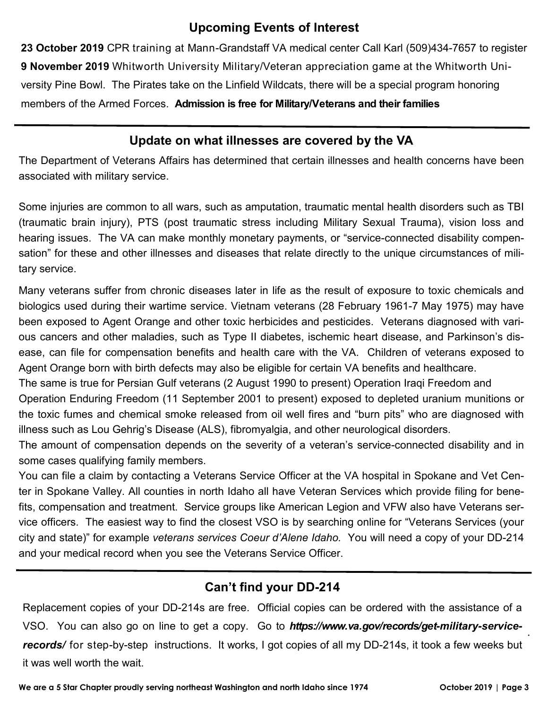#### **Upcoming Events of Interest**

**23 October 2019** CPR training at Mann-Grandstaff VA medical center Call Karl (509)434-7657 to register **9 November 2019** Whitworth University Military/Veteran appreciation game at the Whitworth University Pine Bowl. The Pirates take on the Linfield Wildcats, there will be a special program honoring members of the Armed Forces. **Admission is free for Military/Veterans and their families** 

#### **Update on what illnesses are covered by the VA**

The Department of Veterans Affairs has determined that certain illnesses and health concerns have been associated with military service.

Some injuries are common to all wars, such as amputation, traumatic mental health disorders such as TBI (traumatic brain injury), PTS (post traumatic stress including Military Sexual Trauma), vision loss and hearing issues. The VA can make monthly monetary payments, or "service-connected disability compensation" for these and other illnesses and diseases that relate directly to the unique circumstances of military service.

Many veterans suffer from chronic diseases later in life as the result of exposure to toxic chemicals and biologics used during their wartime service. Vietnam veterans (28 February 1961-7 May 1975) may have been exposed to Agent Orange and other toxic herbicides and pesticides. Veterans diagnosed with various cancers and other maladies, such as Type II diabetes, ischemic heart disease, and Parkinson's disease, can file for compensation benefits and health care with the VA. Children of veterans exposed to Agent Orange born with birth defects may also be eligible for certain VA benefits and healthcare.

The same is true for Persian Gulf veterans (2 August 1990 to present) Operation Iraqi Freedom and

Operation Enduring Freedom (11 September 2001 to present) exposed to depleted uranium munitions or the toxic fumes and chemical smoke released from oil well fires and "burn pits" who are diagnosed with illness such as Lou Gehrig's Disease (ALS), fibromyalgia, and other neurological disorders.

The amount of compensation depends on the severity of a veteran's service-connected disability and in some cases qualifying family members.

You can file a claim by contacting a Veterans Service Officer at the VA hospital in Spokane and Vet Center in Spokane Valley. All counties in north Idaho all have Veteran Services which provide filing for benefits, compensation and treatment. Service groups like American Legion and VFW also have Veterans service officers. The easiest way to find the closest VSO is by searching online for "Veterans Services (your city and state)" for example *veterans services Coeur d'Alene Idaho.* You will need a copy of your DD-214 and your medical record when you see the Veterans Service Officer.

### **Can't find your DD-214**

. Replacement copies of your DD-214s are free. Official copies can be ordered with the assistance of a VSO. You can also go on line to get a copy. Go to *https://www.va.gov/records/get-military-servicerecords/* for step-by-step instructions. It works, I got copies of all my DD-214s, it took a few weeks but it was well worth the wait.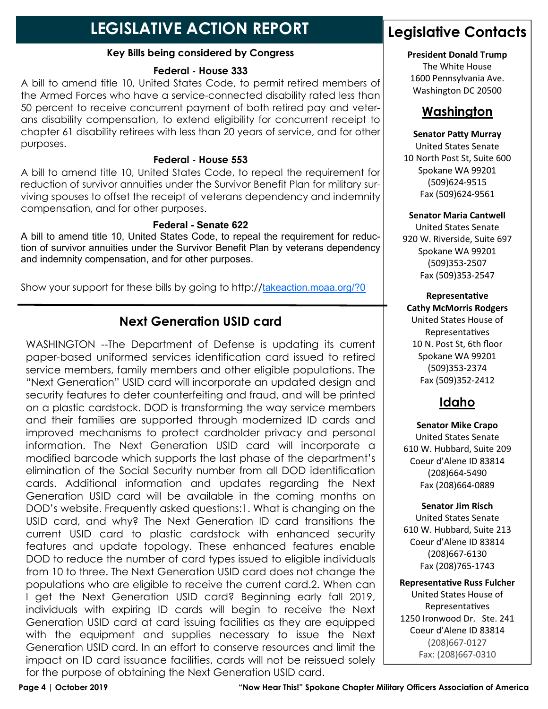## **LEGISLATIVE ACTION REPORT**

#### **Key Bills being considered by Congress**

#### **Federal - House 333**

A bill to amend title 10, United States Code, to permit retired members of the Armed Forces who have a service-connected disability rated less than 50 percent to receive concurrent payment of both retired pay and veterans disability compensation, to extend eligibility for concurrent receipt to chapter 61 disability retirees with less than 20 years of service, and for other purposes.

#### **Federal - House 553**

A bill to amend title 10, United States Code, to repeal the requirement for reduction of survivor annuities under the Survivor Benefit Plan for military surviving spouses to offset the receipt of veterans dependency and indemnity compensation, and for other purposes.

#### **Federal - Senate 622**

A bill to amend title 10, United States Code, to repeal the requirement for reduction of survivor annuities under the Survivor Benefit Plan by veterans dependency and indemnity compensation, and for other purposes.

Show your support for these bills by going to http://takeaction.moaa.org/?0

### **Next Generation USID card**

WASHINGTON --The Department of Defense is updating its current paper-based uniformed services identification card issued to retired service members, family members and other eligible populations. The "Next Generation" USID card will incorporate an updated design and security features to deter counterfeiting and fraud, and will be printed on a plastic cardstock. DOD is transforming the way service members and their families are supported through modernized ID cards and improved mechanisms to protect cardholder privacy and personal information. The Next Generation USID card will incorporate a modified barcode which supports the last phase of the department's elimination of the Social Security number from all DOD identification cards. Additional information and updates regarding the Next Generation USID card will be available in the coming months on DOD's website. Frequently asked questions:1. What is changing on the USID card, and why? The Next Generation ID card transitions the current USID card to plastic cardstock with enhanced security features and update topology. These enhanced features enable DOD to reduce the number of card types issued to eligible individuals from 10 to three. The Next Generation USID card does not change the populations who are eligible to receive the current card.2. When can I get the Next Generation USID card? Beginning early fall 2019, individuals with expiring ID cards will begin to receive the Next Generation USID card at card issuing facilities as they are equipped with the equipment and supplies necessary to issue the Next Generation USID card. In an effort to conserve resources and limit the impact on ID card issuance facilities, cards will not be reissued solely for the purpose of obtaining the Next Generation USID card.

### **Legislative Contacts**

#### **President Donald Trump**

The White House 1600 Pennsylvania Ave. Washington DC 20500

#### **Washington**

#### **Senator Patty Murray**

United States Senate 10 North Post St, Suite 600 Spokane WA 99201 (509)624-9515 Fax (509)624-9561

#### **Senator Maria Cantwell**

United States Senate 920 W. Riverside, Suite 697 Spokane WA 99201 (509)353-2507 Fax (509)353-2547

#### **Representative Cathy McMorris Rodgers** United States House of Representatives 10 N. Post St, 6th floor Spokane WA 99201 (509)353-2374 Fax (509)352-2412

### **Idaho**

**Senator Mike Crapo** United States Senate 610 W. Hubbard, Suite 209 Coeur d'Alene ID 83814 (208)664-5490 Fax (208)664-0889

**Senator Jim Risch**  United States Senate 610 W. Hubbard, Suite 213 Coeur d'Alene ID 83814 (208)667-6130 Fax (208)765-1743

**Representative Russ Fulcher** United States House of Representatives 1250 Ironwood Dr. Ste. 241 Coeur d'Alene ID 83814 (208)667-0127 Fax: (208)667-0310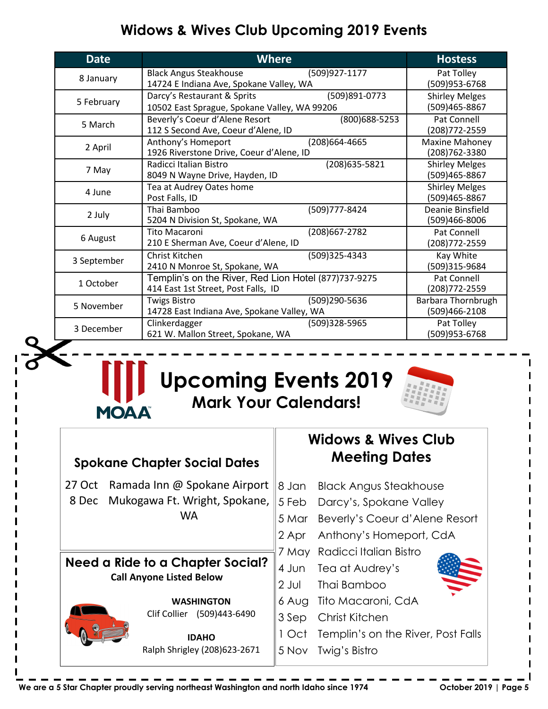## **Widows & Wives Club Upcoming 2019 Events**

| <b>Date</b> | <b>Where</b>                                                                                |                                        | <b>Hostess</b>                          |
|-------------|---------------------------------------------------------------------------------------------|----------------------------------------|-----------------------------------------|
| 8 January   | <b>Black Angus Steakhouse</b><br>14724 E Indiana Ave, Spokane Valley, WA                    | (509)927-1177                          | Pat Tolley<br>(509)953-6768             |
| 5 February  | Darcy's Restaurant & Sprits<br>10502 East Sprague, Spokane Valley, WA 99206                 | <b>Shirley Melges</b><br>(509)465-8867 |                                         |
| 5 March     | Beverly's Coeur d'Alene Resort<br>112 S Second Ave, Coeur d'Alene, ID                       | (800) 688-5253                         | Pat Connell<br>(208) 772-2559           |
| 2 April     | Anthony's Homeport<br>1926 Riverstone Drive, Coeur d'Alene, ID                              | (208) 664-4665                         | <b>Maxine Mahoney</b><br>(208) 762-3380 |
| 7 May       | Radicci Italian Bistro<br>8049 N Wayne Drive, Hayden, ID                                    | (208) 635-5821                         | <b>Shirley Melges</b><br>(509)465-8867  |
| 4 June      | Tea at Audrey Oates home<br>Post Falls, ID                                                  |                                        | <b>Shirley Melges</b><br>(509)465-8867  |
| 2 July      | Thai Bamboo<br>5204 N Division St, Spokane, WA                                              | (509)777-8424                          | Deanie Binsfield<br>(509)466-8006       |
| 6 August    | <b>Tito Macaroni</b><br>210 E Sherman Ave, Coeur d'Alene, ID                                | (208) 667-2782                         | Pat Connell<br>(208) 772-2559           |
| 3 September | Christ Kitchen<br>2410 N Monroe St, Spokane, WA                                             | (509)325-4343                          | Kay White<br>(509)315-9684              |
| 1 October   | Templin's on the River, Red Lion Hotel (877)737-9275<br>414 East 1st Street, Post Falls, ID |                                        | Pat Connell<br>(208) 772-2559           |
| 5 November  | <b>Twigs Bistro</b><br>14728 East Indiana Ave, Spokane Valley, WA                           | (509)290-5636                          | Barbara Thornbrugh<br>(509)466-2108     |
| 3 December  | Clinkerdagger<br>621 W. Mallon Street, Spokane, WA                                          | (509)328-5965                          | Pat Tolley<br>(509)953-6768             |

## **Upcoming Events 2019 Mark Your Calendars!**



| <b>Spokane Chapter Social Dates</b>                                 |                            | <b>Widows &amp; Wives Club</b><br><b>Meeting Dates</b> |                        |                                    |
|---------------------------------------------------------------------|----------------------------|--------------------------------------------------------|------------------------|------------------------------------|
| 27 Oct                                                              |                            | Ramada Inn @ Spokane Airport                           | 8 Jan                  | <b>Black Angus Steakhouse</b>      |
| 8 Dec                                                               |                            | Mukogawa Ft. Wright, Spokane,                          | 5 Feb                  | Darcy's, Spokane Valley            |
|                                                                     |                            | <b>WA</b>                                              | 5 Mar                  | Beverly's Coeur d'Alene Resort     |
|                                                                     |                            |                                                        | 2 Apr                  | Anthony's Homeport, CdA            |
| Need a Ride to a Chapter Social?<br><b>Call Anyone Listed Below</b> |                            | 7 May                                                  | Radicci Italian Bistro |                                    |
|                                                                     |                            | 4 Jun                                                  | Tea at Audrey's        |                                    |
|                                                                     |                            | 2 Jul                                                  | Thai Bamboo            |                                    |
|                                                                     |                            | <b>WASHINGTON</b>                                      | 6 Aug                  | Tito Macaroni, CdA                 |
|                                                                     | Clif Collier (509)443-6490 | 3 Sep                                                  | Christ Kitchen         |                                    |
|                                                                     |                            | <b>IDAHO</b>                                           | I Oct                  | Templin's on the River, Post Falls |
|                                                                     |                            | Ralph Shrigley (208)623-2671                           | 5 Nov                  | Twig's Bistro                      |

**We are a 5 Star Chapter proudly serving northeast Washington and north Idaho since 1974 October 2019 | Page 5** 

**MOAA**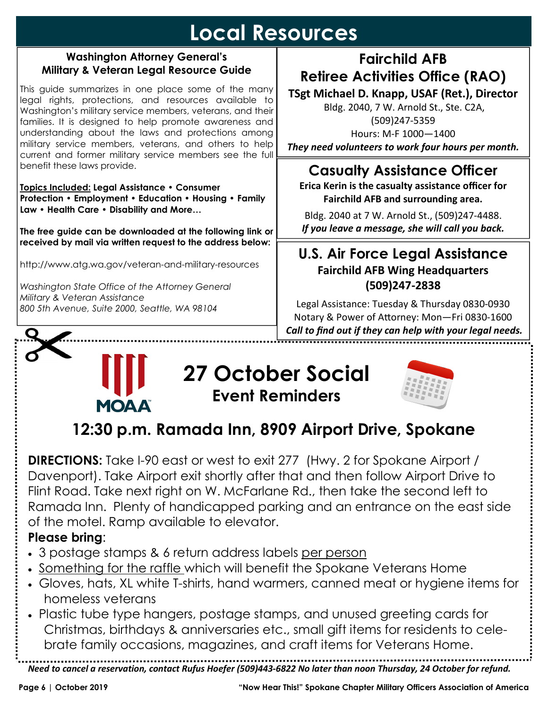## **Local Resources**

#### **Washington Attorney General's Military & Veteran Legal Resource Guide**

This guide summarizes in one place some of the many legal rights, protections, and resources available to Washington's military service members, veterans, and their families. It is designed to help promote awareness and understanding about the laws and protections among military service members, veterans, and others to help current and former military service members see the full benefit these laws provide.

**Topics Included: Legal Assistance • Consumer Protection • Employment • Education • Housing • Family Law • Health Care • Disability and More…** 

**The free guide can be downloaded at the following link or received by mail via written request to the address below:** 

http://www.atg.wa.gov/veteran-and-military-resources

*Washington State Office of the Attorney General Military & Veteran Assistance 800 5th Avenue, Suite 2000, Seattle, WA 98104* 

**MOAA** 

## **Fairchild AFB Retiree Activities Office (RAO)**

**TSgt Michael D. Knapp, USAF (Ret.), Director** 

 Bldg. 2040, 7 W. Arnold St., Ste. C2A, (509)247-5359 Hours: M-F 1000—1400 *They need volunteers to work four hours per month.* 

## **Casualty Assistance Officer**

**Erica Kerin is the casualty assistance officer for Fairchild AFB and surrounding area.** 

Bldg. 2040 at 7 W. Arnold St., (509)247-4488. *If you leave a message, she will call you back.* 

### **U.S. Air Force Legal Assistance Fairchild AFB Wing Headquarters (509)247-2838**

Legal Assistance: Tuesday & Thursday 0830-0930 Notary & Power of Attorney: Mon-Fri 0830-1600  *Call to find out if they can help with your legal needs.*  

## **27 October Social Event Reminders**



## **12:30 p.m. Ramada Inn, 8909 Airport Drive, Spokane**

**DIRECTIONS:** Take I-90 east or west to exit 277 (Hwy. 2 for Spokane Airport / Davenport). Take Airport exit shortly after that and then follow Airport Drive to Flint Road. Take next right on W. McFarlane Rd., then take the second left to Ramada Inn. Plenty of handicapped parking and an entrance on the east side of the motel. Ramp available to elevator.

### **Please bring**:

- 3 postage stamps & 6 return address labels per person
- Something for the raffle which will benefit the Spokane Veterans Home
- Gloves, hats, XL white T-shirts, hand warmers, canned meat or hygiene items for homeless veterans
- Plastic tube type hangers, postage stamps, and unused greeting cards for Christmas, birthdays & anniversaries etc., small gift items for residents to celebrate family occasions, magazines, and craft items for Veterans Home.

*Need to cancel a reservation, contact Rufus Hoefer (509)443-6822 No later than noon Thursday, 24 October for refund.*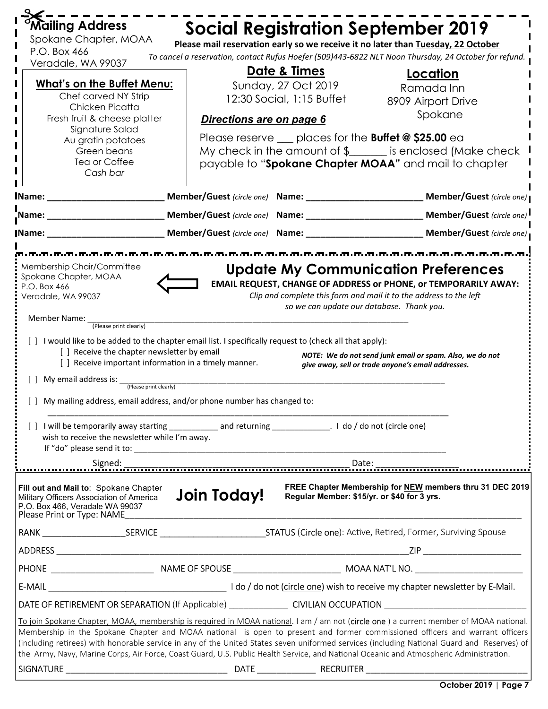| Mailing Address                                                                                                                                    |                          |                                             | <b>Social Registration September 2019</b>                                                                                                                                                                                                                                   |
|----------------------------------------------------------------------------------------------------------------------------------------------------|--------------------------|---------------------------------------------|-----------------------------------------------------------------------------------------------------------------------------------------------------------------------------------------------------------------------------------------------------------------------------|
| Spokane Chapter, MOAA<br>P.O. Box 466                                                                                                              |                          |                                             | Please mail reservation early so we receive it no later than Tuesday, 22 October                                                                                                                                                                                            |
| Veradale, WA 99037                                                                                                                                 |                          |                                             | To cancel a reservation, contact Rufus Hoefer (509)443-6822 NLT Noon Thursday, 24 October for refund.                                                                                                                                                                       |
|                                                                                                                                                    |                          | <u>Date &amp; Times</u>                     | Location                                                                                                                                                                                                                                                                    |
| <b>What's on the Buffet Menu:</b><br>Chef carved NY Strip                                                                                          |                          | Sunday, 27 Oct 2019                         | Ramada Inn                                                                                                                                                                                                                                                                  |
| Chicken Picatta                                                                                                                                    |                          | 12:30 Social, 1:15 Buffet                   | 8909 Airport Drive                                                                                                                                                                                                                                                          |
| Fresh fruit & cheese platter                                                                                                                       | Directions are on page 6 |                                             | Spokane                                                                                                                                                                                                                                                                     |
| Signature Salad<br>Au gratin potatoes                                                                                                              |                          |                                             | Please reserve $\_\_$ places for the <b>Buffet @ \$25.00</b> ea                                                                                                                                                                                                             |
| Green beans                                                                                                                                        |                          |                                             | My check in the amount of $\frac{1}{2}$ is enclosed (Make check                                                                                                                                                                                                             |
| Tea or Coffee                                                                                                                                      |                          |                                             | payable to "Spokane Chapter MOAA" and mail to chapter                                                                                                                                                                                                                       |
| Cash bar                                                                                                                                           |                          |                                             |                                                                                                                                                                                                                                                                             |
|                                                                                                                                                    |                          |                                             | IName: _________________________________Member/Guest (circle one) Name: _________________________________Member/Guest (circle one)                                                                                                                                          |
|                                                                                                                                                    |                          |                                             | Name: _________________________________Member/Guest (circle one) Name: __________________________________Member/Guest (circle one)                                                                                                                                          |
| <b>IName:</b>                                                                                                                                      |                          |                                             |                                                                                                                                                                                                                                                                             |
|                                                                                                                                                    |                          |                                             |                                                                                                                                                                                                                                                                             |
| Membership Chair/Committee                                                                                                                         |                          |                                             | <b>Update My Communication Preferences</b>                                                                                                                                                                                                                                  |
| Spokane Chapter, MOAA                                                                                                                              |                          |                                             | <b>EMAIL REQUEST, CHANGE OF ADDRESS or PHONE, or TEMPORARILY AWAY:</b>                                                                                                                                                                                                      |
| P.O. Box 466<br>Veradale, WA 99037                                                                                                                 |                          |                                             | Clip and complete this form and mail it to the address to the left                                                                                                                                                                                                          |
|                                                                                                                                                    |                          | so we can update our database. Thank you.   |                                                                                                                                                                                                                                                                             |
| Member Name:<br>(Please print clearly)                                                                                                             |                          |                                             |                                                                                                                                                                                                                                                                             |
| [ ] I would like to be added to the chapter email list. I specifically request to (check all that apply):                                          |                          |                                             |                                                                                                                                                                                                                                                                             |
| [] Receive the chapter newsletter by email                                                                                                         |                          |                                             | NOTE: We do not send junk email or spam. Also, we do not                                                                                                                                                                                                                    |
| [] Receive important information in a timely manner.                                                                                               |                          |                                             | give away, sell or trade anyone's email addresses.                                                                                                                                                                                                                          |
| [ ] My email address is:<br>(Please print clearly)                                                                                                 |                          |                                             |                                                                                                                                                                                                                                                                             |
| [] My mailing address, email address, and/or phone number has changed to:                                                                          |                          |                                             |                                                                                                                                                                                                                                                                             |
|                                                                                                                                                    |                          |                                             |                                                                                                                                                                                                                                                                             |
| wish to receive the newsletter while I'm away.                                                                                                     |                          |                                             |                                                                                                                                                                                                                                                                             |
|                                                                                                                                                    |                          |                                             |                                                                                                                                                                                                                                                                             |
|                                                                                                                                                    |                          |                                             |                                                                                                                                                                                                                                                                             |
| Fill out and Mail to: Spokane Chapter<br>Military Officers Association of America<br>P.O. Box 466, Veradale WA 99037<br>Please Print or Type: NAME | Join Today!              | Regular Member: \$15/yr. or \$40 for 3 yrs. | FREE Chapter Membership for NEW members thru 31 DEC 2019                                                                                                                                                                                                                    |
|                                                                                                                                                    |                          |                                             |                                                                                                                                                                                                                                                                             |
|                                                                                                                                                    |                          |                                             |                                                                                                                                                                                                                                                                             |
|                                                                                                                                                    |                          |                                             |                                                                                                                                                                                                                                                                             |
|                                                                                                                                                    |                          |                                             |                                                                                                                                                                                                                                                                             |
| DATE OF RETIREMENT OR SEPARATION (If Applicable) _______________________CIVILIAN OCCUPATION ________________________                               |                          |                                             |                                                                                                                                                                                                                                                                             |
|                                                                                                                                                    |                          |                                             | To join Spokane Chapter, MOAA, membership is required in MOAA national. I am / am not (circle one) a current member of MOAA national.                                                                                                                                       |
| the Army, Navy, Marine Corps, Air Force, Coast Guard, U.S. Public Health Service, and National Oceanic and Atmospheric Administration.             |                          |                                             | Membership in the Spokane Chapter and MOAA national is open to present and former commissioned officers and warrant officers<br>(including retirees) with honorable service in any of the United States seven uniformed services (including National Guard and Reserves) of |
|                                                                                                                                                    |                          |                                             |                                                                                                                                                                                                                                                                             |
|                                                                                                                                                    |                          |                                             |                                                                                                                                                                                                                                                                             |